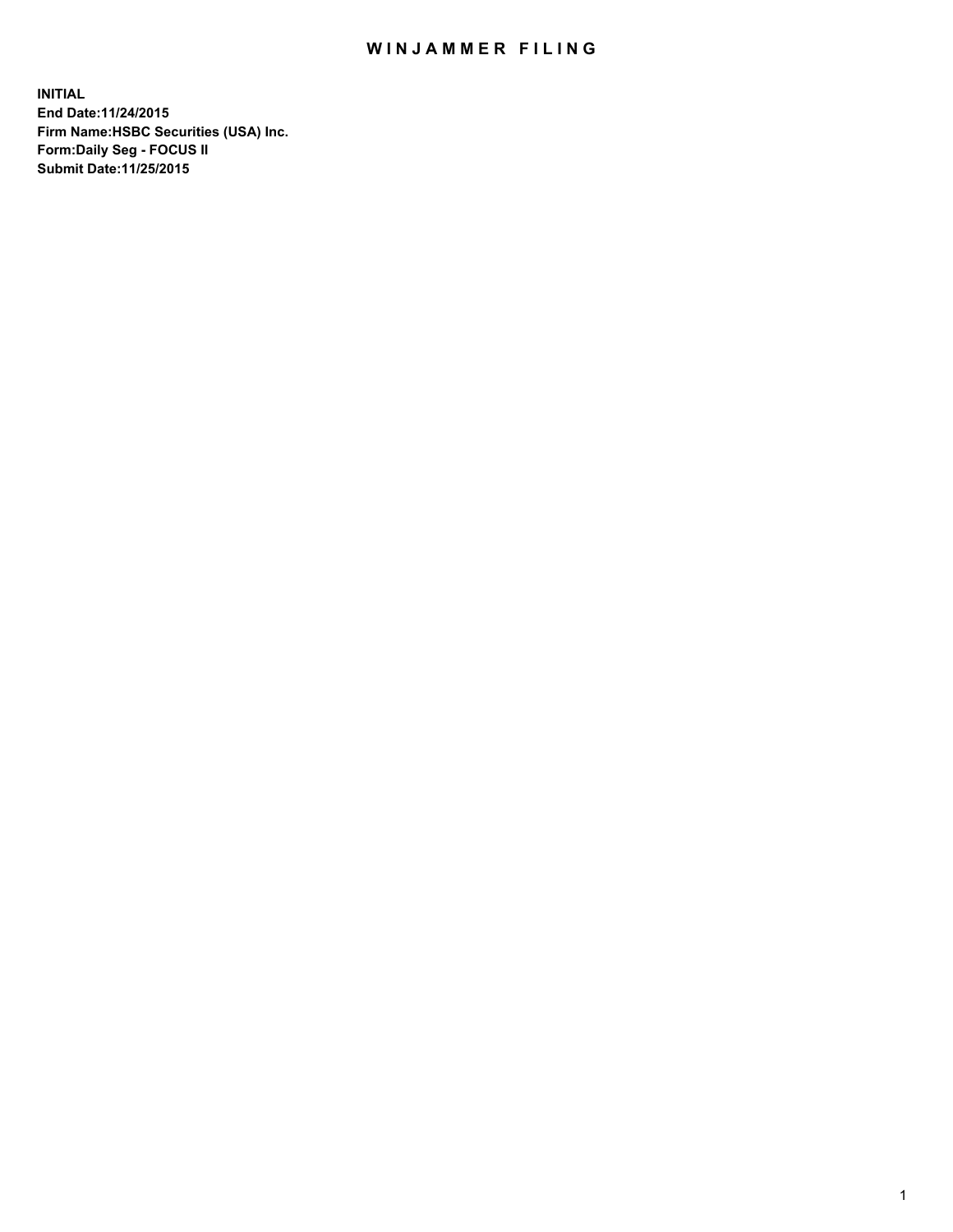## WIN JAMMER FILING

**INITIAL End Date:11/24/2015 Firm Name:HSBC Securities (USA) Inc. Form:Daily Seg - FOCUS II Submit Date:11/25/2015**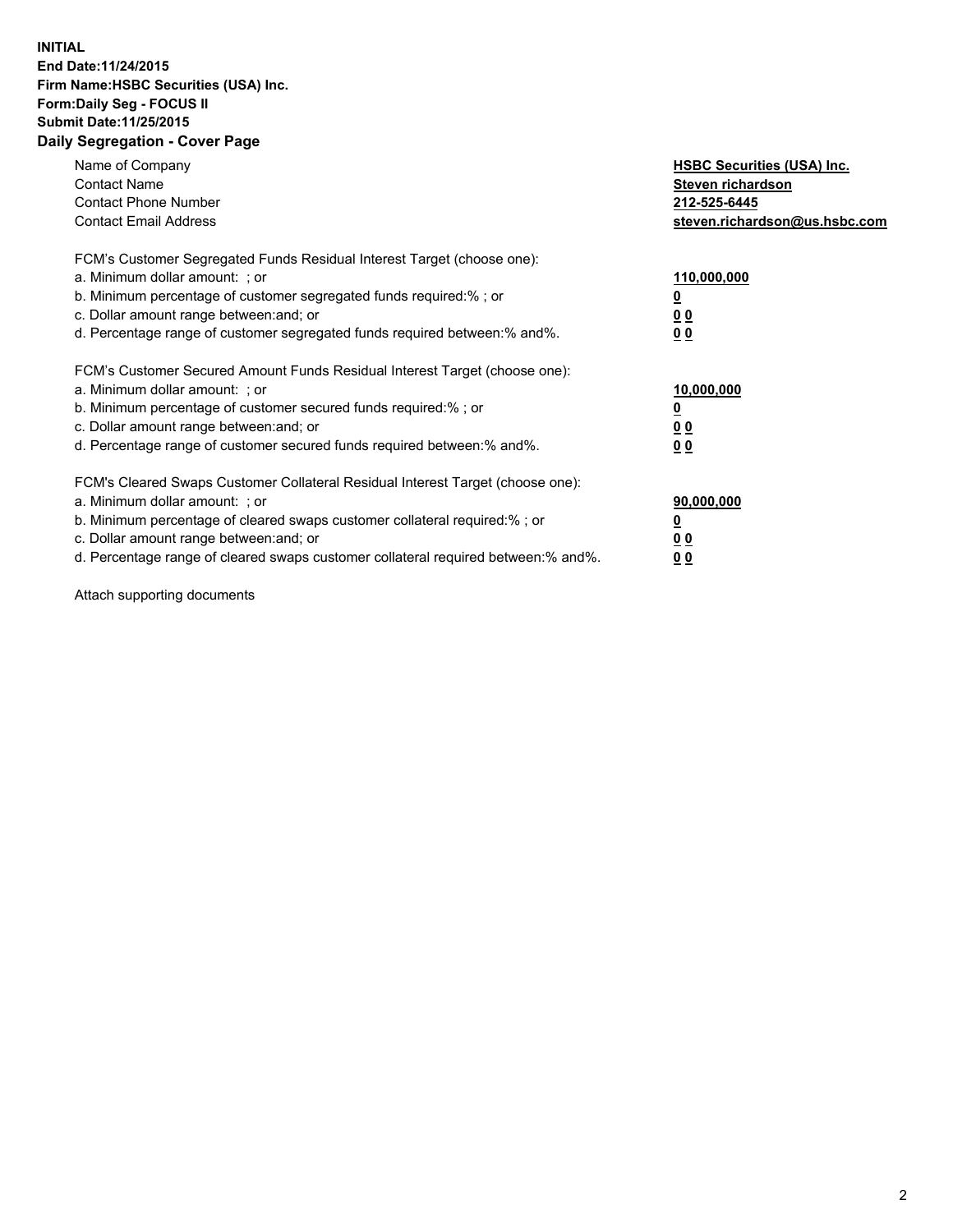## **INITIAL End Date:11/24/2015 Firm Name:HSBC Securities (USA) Inc. Form:Daily Seg - FOCUS II Submit Date:11/25/2015 Daily Segregation - Cover Page**

| Name of Company<br><b>Contact Name</b><br><b>Contact Phone Number</b><br><b>Contact Email Address</b>                                                                                                                                                                                                                         | <b>HSBC Securities (USA) Inc.</b><br>Steven richardson<br>212-525-6445<br>steven.richardson@us.hsbc.com |
|-------------------------------------------------------------------------------------------------------------------------------------------------------------------------------------------------------------------------------------------------------------------------------------------------------------------------------|---------------------------------------------------------------------------------------------------------|
| FCM's Customer Segregated Funds Residual Interest Target (choose one):<br>a. Minimum dollar amount: ; or<br>b. Minimum percentage of customer segregated funds required:%; or<br>c. Dollar amount range between: and; or<br>d. Percentage range of customer segregated funds required between:% and%.                         | 110,000,000<br>00<br>00                                                                                 |
| FCM's Customer Secured Amount Funds Residual Interest Target (choose one):<br>a. Minimum dollar amount: ; or<br>b. Minimum percentage of customer secured funds required:%; or<br>c. Dollar amount range between: and; or<br>d. Percentage range of customer secured funds required between: % and %.                         | 10,000,000<br>0 <sub>0</sub><br>00                                                                      |
| FCM's Cleared Swaps Customer Collateral Residual Interest Target (choose one):<br>a. Minimum dollar amount: ; or<br>b. Minimum percentage of cleared swaps customer collateral required:%; or<br>c. Dollar amount range between: and; or<br>d. Percentage range of cleared swaps customer collateral required between:% and%. | 90,000,000<br><u>0</u><br>00<br>0 <sub>0</sub>                                                          |

Attach supporting documents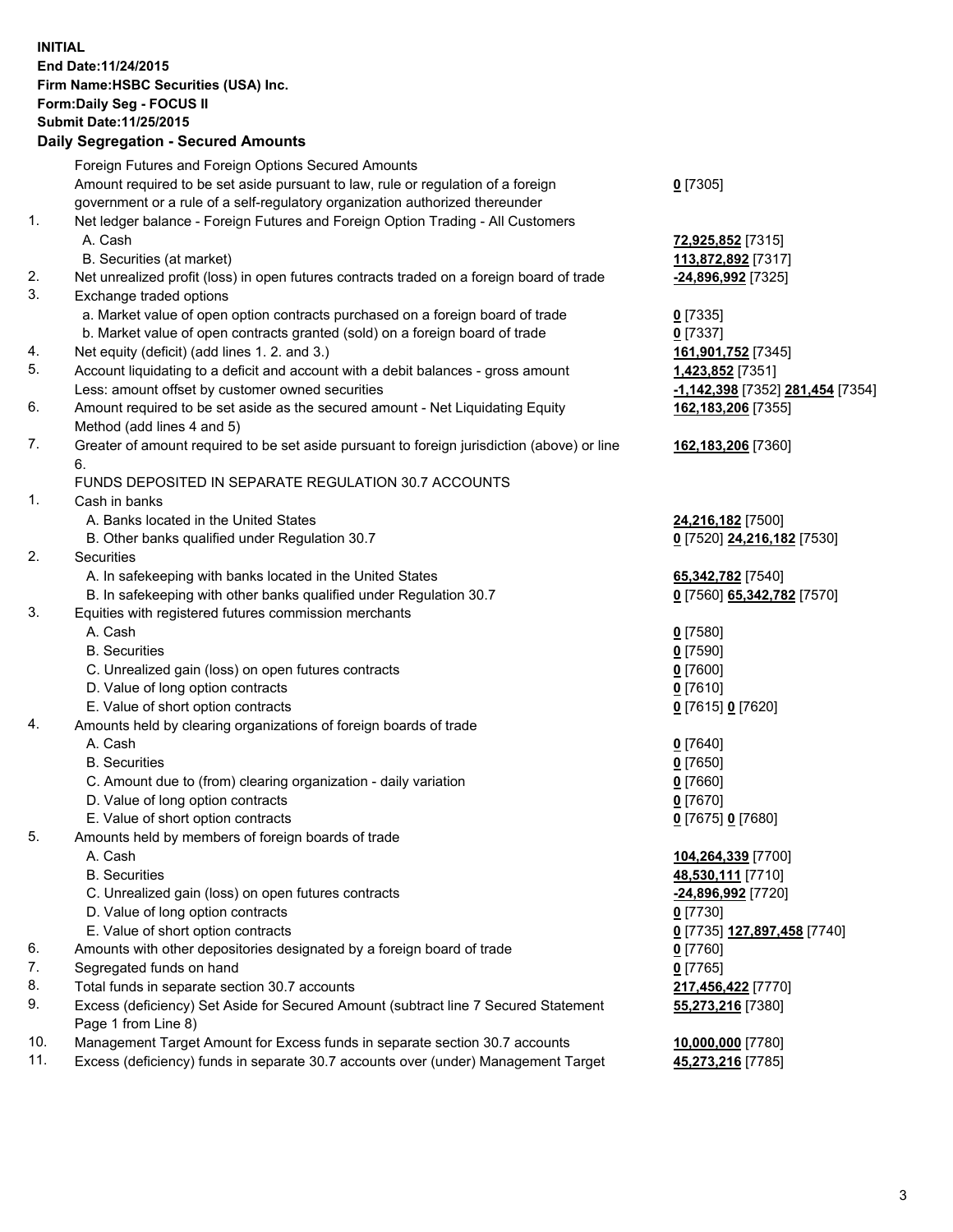**INITIAL End Date:11/24/2015 Firm Name:HSBC Securities (USA) Inc. Form:Daily Seg - FOCUS II Submit Date:11/25/2015**

## **Daily Segregation - Secured Amounts**

|     | Foreign Futures and Foreign Options Secured Amounts                                         |                                                      |
|-----|---------------------------------------------------------------------------------------------|------------------------------------------------------|
|     | Amount required to be set aside pursuant to law, rule or regulation of a foreign            | $0$ [7305]                                           |
|     | government or a rule of a self-regulatory organization authorized thereunder                |                                                      |
| 1.  | Net ledger balance - Foreign Futures and Foreign Option Trading - All Customers             |                                                      |
|     | A. Cash                                                                                     | 72,925,852 [7315]                                    |
|     | B. Securities (at market)                                                                   | 113,872,892 [7317]                                   |
| 2.  | Net unrealized profit (loss) in open futures contracts traded on a foreign board of trade   | -24,896,992 <sup>[7325]</sup>                        |
| 3.  | Exchange traded options                                                                     |                                                      |
|     | a. Market value of open option contracts purchased on a foreign board of trade              | $0$ [7335]                                           |
|     | b. Market value of open contracts granted (sold) on a foreign board of trade                | $0$ [7337]                                           |
| 4.  | Net equity (deficit) (add lines 1. 2. and 3.)                                               | 161,901,752 [7345]                                   |
| 5.  | Account liquidating to a deficit and account with a debit balances - gross amount           | 1,423,852 [7351]                                     |
|     | Less: amount offset by customer owned securities                                            | <mark>-1,142,398</mark> [7352] <b>281,454</b> [7354] |
| 6.  | Amount required to be set aside as the secured amount - Net Liquidating Equity              | 162,183,206 [7355]                                   |
|     | Method (add lines 4 and 5)                                                                  |                                                      |
| 7.  | Greater of amount required to be set aside pursuant to foreign jurisdiction (above) or line | 162,183,206 [7360]                                   |
|     | 6.                                                                                          |                                                      |
|     | FUNDS DEPOSITED IN SEPARATE REGULATION 30.7 ACCOUNTS                                        |                                                      |
| 1.  | Cash in banks                                                                               |                                                      |
|     | A. Banks located in the United States                                                       | 24,216,182 [7500]                                    |
|     | B. Other banks qualified under Regulation 30.7                                              | 0 [7520] 24,216,182 [7530]                           |
| 2.  | Securities                                                                                  |                                                      |
|     | A. In safekeeping with banks located in the United States                                   | 65,342,782 [7540]                                    |
|     | B. In safekeeping with other banks qualified under Regulation 30.7                          | 0 [7560] 65,342,782 [7570]                           |
| 3.  | Equities with registered futures commission merchants                                       |                                                      |
|     | A. Cash                                                                                     | $0$ [7580]                                           |
|     | <b>B.</b> Securities                                                                        | $0$ [7590]                                           |
|     | C. Unrealized gain (loss) on open futures contracts                                         | $0$ [7600]                                           |
|     | D. Value of long option contracts                                                           | $0$ [7610]                                           |
|     | E. Value of short option contracts                                                          | 0 [7615] 0 [7620]                                    |
| 4.  | Amounts held by clearing organizations of foreign boards of trade                           |                                                      |
|     | A. Cash                                                                                     | $0$ [7640]                                           |
|     | <b>B.</b> Securities                                                                        |                                                      |
|     |                                                                                             | $0$ [7650]                                           |
|     | C. Amount due to (from) clearing organization - daily variation                             | $0$ [7660]                                           |
|     | D. Value of long option contracts                                                           | $0$ [7670]                                           |
| 5.  | E. Value of short option contracts                                                          | 0 [7675] 0 [7680]                                    |
|     | Amounts held by members of foreign boards of trade                                          |                                                      |
|     | A. Cash                                                                                     | 104,264,339 [7700]                                   |
|     | <b>B.</b> Securities                                                                        | 48,530,111 [7710]                                    |
|     | C. Unrealized gain (loss) on open futures contracts                                         | -24,896,992 [7720]                                   |
|     | D. Value of long option contracts                                                           | $0$ [7730]                                           |
|     | E. Value of short option contracts                                                          | 0 [7735] 127,897,458 [7740]                          |
| 6.  | Amounts with other depositories designated by a foreign board of trade                      | 0 [7760]                                             |
| 7.  | Segregated funds on hand                                                                    | $0$ [7765]                                           |
| 8.  | Total funds in separate section 30.7 accounts                                               | 217,456,422 [7770]                                   |
| 9.  | Excess (deficiency) Set Aside for Secured Amount (subtract line 7 Secured Statement         | 55,273,216 [7380]                                    |
|     | Page 1 from Line 8)                                                                         |                                                      |
| 10. | Management Target Amount for Excess funds in separate section 30.7 accounts                 | 10,000,000 [7780]                                    |
| 11. | Excess (deficiency) funds in separate 30.7 accounts over (under) Management Target          | 45,273,216 [7785]                                    |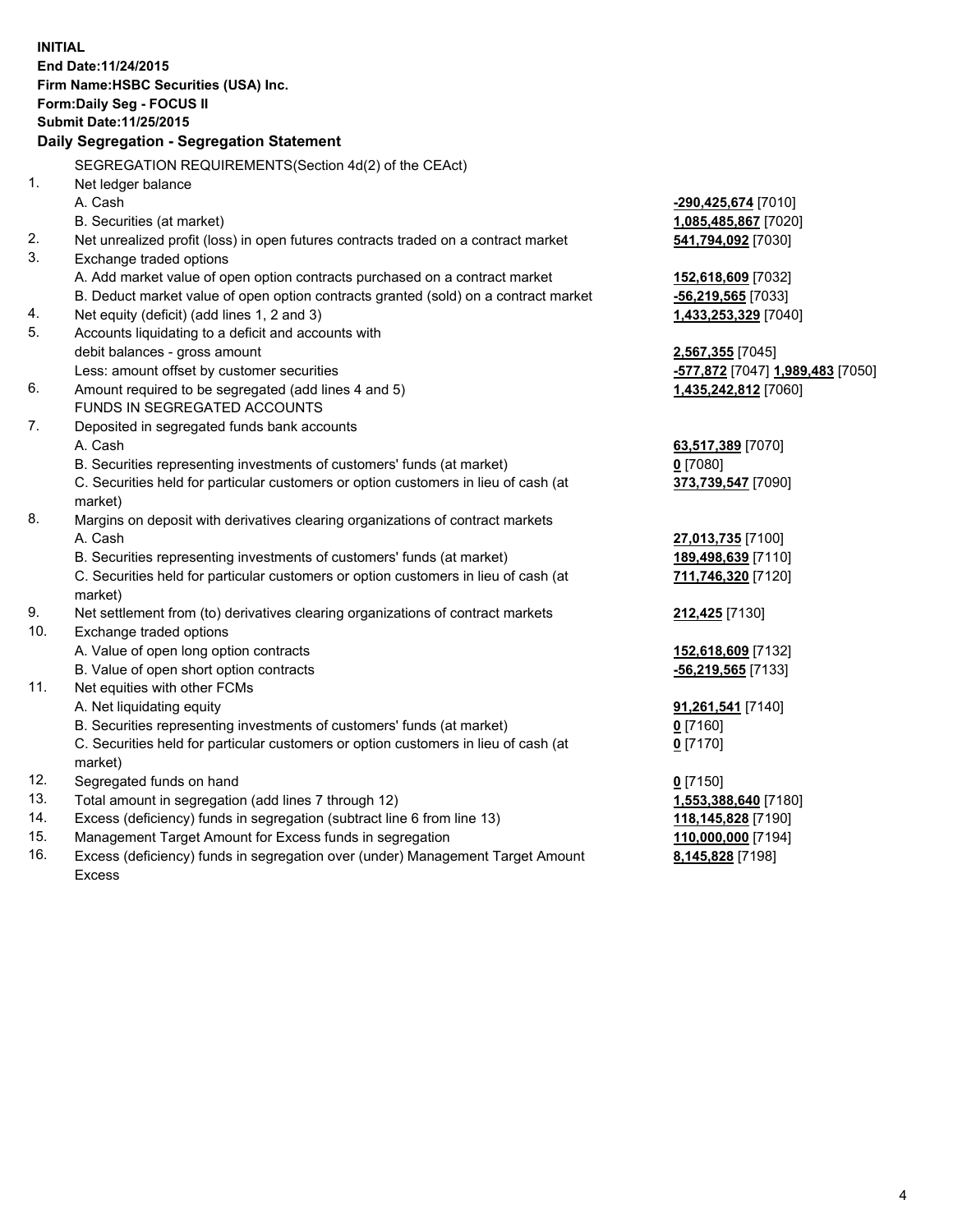**INITIAL End Date:11/24/2015 Firm Name:HSBC Securities (USA) Inc. Form:Daily Seg - FOCUS II Submit Date:11/25/2015 Daily Segregation - Segregation Statement** SEGREGATION REQUIREMENTS(Section 4d(2) of the CEAct) 1. Net ledger balance A. Cash **-290,425,674** [7010] B. Securities (at market) **1,085,485,867** [7020] 2. Net unrealized profit (loss) in open futures contracts traded on a contract market **541,794,092** [7030] 3. Exchange traded options A. Add market value of open option contracts purchased on a contract market **152,618,609** [7032] B. Deduct market value of open option contracts granted (sold) on a contract market **-56,219,565** [7033] 4. Net equity (deficit) (add lines 1, 2 and 3) **1,433,253,329** [7040] 5. Accounts liquidating to a deficit and accounts with debit balances - gross amount **2,567,355** [7045] Less: amount offset by customer securities **-577,872** [7047] **1,989,483** [7050] 6. Amount required to be segregated (add lines 4 and 5) **1,435,242,812** [7060] FUNDS IN SEGREGATED ACCOUNTS 7. Deposited in segregated funds bank accounts A. Cash **63,517,389** [7070] B. Securities representing investments of customers' funds (at market) **0** [7080] C. Securities held for particular customers or option customers in lieu of cash (at market) **373,739,547** [7090] 8. Margins on deposit with derivatives clearing organizations of contract markets A. Cash **27,013,735** [7100] B. Securities representing investments of customers' funds (at market) **189,498,639** [7110] C. Securities held for particular customers or option customers in lieu of cash (at market) **711,746,320** [7120] 9. Net settlement from (to) derivatives clearing organizations of contract markets **212,425** [7130] 10. Exchange traded options A. Value of open long option contracts **152,618,609** [7132] B. Value of open short option contracts **-56,219,565** [7133] 11. Net equities with other FCMs A. Net liquidating equity **91,261,541** [7140] B. Securities representing investments of customers' funds (at market) **0** [7160] C. Securities held for particular customers or option customers in lieu of cash (at market) **0** [7170] 12. Segregated funds on hand **0** [7150] 13. Total amount in segregation (add lines 7 through 12) **1,553,388,640** [7180] 14. Excess (deficiency) funds in segregation (subtract line 6 from line 13) **118,145,828** [7190] 15. Management Target Amount for Excess funds in segregation **110,000,000** [7194]

16. Excess (deficiency) funds in segregation over (under) Management Target Amount Excess

**8,145,828** [7198]